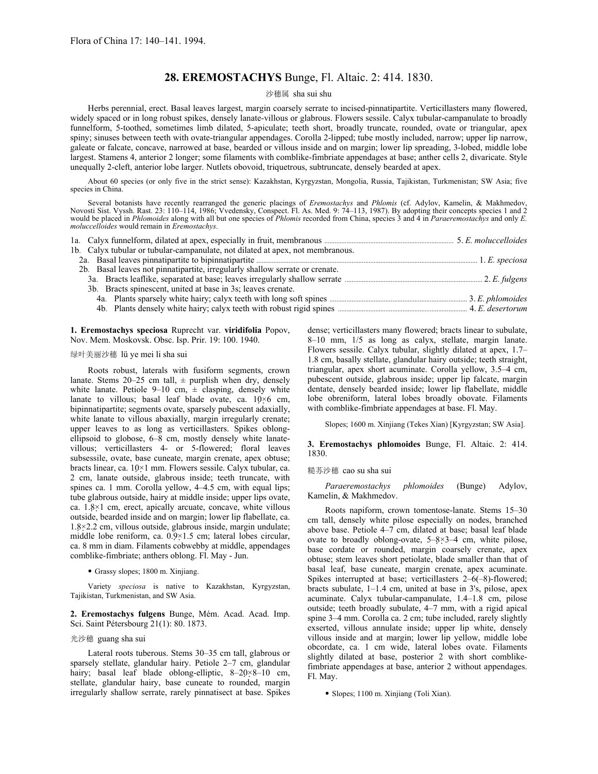# **28. EREMOSTACHYS** Bunge, Fl. Altaic. 2: 414. 1830.

### 沙穗属 sha sui shu

Herbs perennial, erect. Basal leaves largest, margin coarsely serrate to incised-pinnatipartite. Verticillasters many flowered, widely spaced or in long robust spikes, densely lanate-villous or glabrous. Flowers sessile. Calyx tubular-campanulate to broadly funnelform, 5-toothed, sometimes limb dilated, 5-apiculate; teeth short, broadly truncate, rounded, ovate or triangular, apex spiny; sinuses between teeth with ovate-triangular appendages. Corolla 2-lipped; tube mostly included, narrow; upper lip narrow, galeate or falcate, concave, narrowed at base, bearded or villous inside and on margin; lower lip spreading, 3-lobed, middle lobe largest. Stamens 4, anterior 2 longer; some filaments with comblike-fimbriate appendages at base; anther cells 2, divaricate. Style unequally 2-cleft, anterior lobe larger. Nutlets obovoid, triquetrous, subtruncate, densely bearded at apex.

About 60 species (or only five in the strict sense): Kazakhstan, Kyrgyzstan, Mongolia, Russia, Tajikistan, Turkmenistan; SW Asia; five species in China.

Several botanists have recently rearranged the generic placings of *Eremostachys* and *Phlomis* (cf. Adylov, Kamelin, & Makhmedov, Novosti Sist. Vyssh. Rast. 23: 110–114, 1986; Vvedensky, Conspect. Fl. As. Med. 9: 74–113, 1987). By adopting their concepts species 1 and 2 would be placed in *Phlomoides* along with all but one species of *Phlomis* recorded from China, species 3 and 4 in *Paraeremostachys* and only *E. moluccelloides* would remain in *Eremostachys*.

| 1b. Calyx tubular or tubular-campanulate, not dilated at apex, not membranous. |  |
|--------------------------------------------------------------------------------|--|
|                                                                                |  |
| 2b. Basal leaves not pinnatipartite, irregularly shallow serrate or crenate.   |  |
|                                                                                |  |
| 3b. Bracts spinescent, united at base in 3s; leaves crenate.                   |  |
|                                                                                |  |
|                                                                                |  |

**1. Eremostachys speciosa** Ruprecht var. **viridifolia** Popov, Nov. Mem. Moskovsk. Obsc. Isp. Prir. 19: 100. 1940.

# 绿叶美丽沙穗 lü ye mei li sha sui

Roots robust, laterals with fusiform segments, crown lanate. Stems  $20-25$  cm tall,  $\pm$  purplish when dry, densely white lanate. Petiole 9–10 cm,  $\pm$  clasping, densely white lanate to villous; basal leaf blade ovate, ca.  $10\times6$  cm, bipinnatipartite; segments ovate, sparsely pubescent adaxially, white lanate to villous abaxially, margin irregularly crenate; upper leaves to as long as verticillasters. Spikes oblongellipsoid to globose, 6–8 cm, mostly densely white lanatevillous; verticillasters 4- or 5-flowered; floral leaves subsessile, ovate, base cuneate, margin crenate, apex obtuse; bracts linear, ca. 10×1 mm. Flowers sessile. Calyx tubular, ca. 2 cm, lanate outside, glabrous inside; teeth truncate, with spines ca. 1 mm. Corolla yellow, 4–4.5 cm, with equal lips; tube glabrous outside, hairy at middle inside; upper lips ovate, ca. 1.8×1 cm, erect, apically arcuate, concave, white villous outside, bearded inside and on margin; lower lip flabellate, ca. 1.8×2.2 cm, villous outside, glabrous inside, margin undulate; middle lobe reniform, ca. 0.9×1.5 cm; lateral lobes circular, ca. 8 mm in diam. Filaments cobwebby at middle, appendages comblike-fimbriate; anthers oblong. Fl. May - Jun.

• Grassy slopes; 1800 m. Xinjiang.

Variety *speciosa* is native to Kazakhstan, Kyrgyzstan, Tajikistan, Turkmenistan, and SW Asia.

**2. Eremostachys fulgens** Bunge, Mém. Acad. Acad. Imp. Sci. Saint Pétersbourg 21(1): 80. 1873.

### 光沙穗 guang sha sui

Lateral roots tuberous. Stems 30–35 cm tall, glabrous or sparsely stellate, glandular hairy. Petiole 2–7 cm, glandular hairy; basal leaf blade oblong-elliptic, 8-20×8-10 cm, stellate, glandular hairy, base cuneate to rounded, margin irregularly shallow serrate, rarely pinnatisect at base. Spikes

dense; verticillasters many flowered; bracts linear to subulate, 8–10 mm, 1/5 as long as calyx, stellate, margin lanate. Flowers sessile. Calyx tubular, slightly dilated at apex, 1.7– 1.8 cm, basally stellate, glandular hairy outside; teeth straight, triangular, apex short acuminate. Corolla yellow, 3.5–4 cm, pubescent outside, glabrous inside; upper lip falcate, margin dentate, densely bearded inside; lower lip flabellate, middle lobe obreniform, lateral lobes broadly obovate. Filaments with comblike-fimbriate appendages at base. Fl. May.

Slopes; 1600 m. Xinjiang (Tekes Xian) [Kyrgyzstan; SW Asia].

## **3. Eremostachys phlomoides** Bunge, Fl. Altaic. 2: 414. 1830.

#### 糙苏沙穗 cao su sha sui

*Paraeremostachys phlomoides* (Bunge) Adylov, Kamelin, & Makhmedov.

Roots napiform, crown tomentose-lanate. Stems 15–30 cm tall, densely white pilose especially on nodes, branched above base. Petiole 4–7 cm, dilated at base; basal leaf blade ovate to broadly oblong-ovate,  $5-8\times3-4$  cm, white pilose, base cordate or rounded, margin coarsely crenate, apex obtuse; stem leaves short petiolate, blade smaller than that of basal leaf, base cuneate, margin crenate, apex acuminate. Spikes interrupted at base; verticillasters 2–6(–8)-flowered; bracts subulate, 1–1.4 cm, united at base in 3's, pilose, apex acuminate. Calyx tubular-campanulate, 1.4–1.8 cm, pilose outside; teeth broadly subulate, 4–7 mm, with a rigid apical spine 3–4 mm. Corolla ca. 2 cm; tube included, rarely slightly exserted, villous annulate inside; upper lip white, densely villous inside and at margin; lower lip yellow, middle lobe obcordate, ca. 1 cm wide, lateral lobes ovate. Filaments slightly dilated at base, posterior 2 with short comblikefimbriate appendages at base, anterior 2 without appendages. Fl. May.

• Slopes; 1100 m. Xinjiang (Toli Xian).